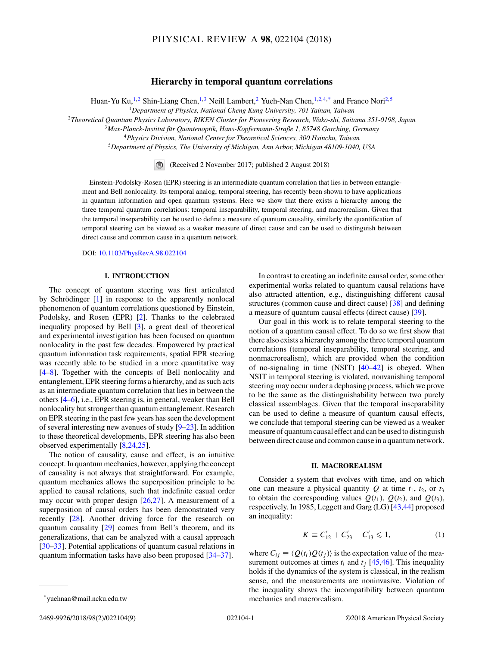# **Hierarchy in temporal quantum correlations**

Huan-Yu Ku,<sup>1,2</sup> Shin-Liang Chen,<sup>1,3</sup> Neill Lambert,<sup>2</sup> Yueh-Nan Chen,<sup>1,2,4,\*</sup> and Franco Nori<sup>2,5</sup>

<sup>1</sup>*Department of Physics, National Cheng Kung University, 701 Tainan, Taiwan*

<sup>2</sup>*Theoretical Quantum Physics Laboratory, RIKEN Cluster for Pioneering Research, Wako-shi, Saitama 351-0198, Japan*

<sup>3</sup>*Max-Planck-Institut für Quantenoptik, Hans-Kopfermann-Straße 1, 85748 Garching, Germany*

<sup>4</sup>*Physics Division, National Center for Theoretical Sciences, 300 Hsinchu, Taiwan*

<sup>5</sup>*Department of Physics, The University of Michigan, Ann Arbor, Michigan 48109-1040, USA*

(Received 2 November 2017; published 2 August 2018)

Einstein-Podolsky-Rosen (EPR) steering is an intermediate quantum correlation that lies in between entanglement and Bell nonlocality. Its temporal analog, temporal steering, has recently been shown to have applications in quantum information and open quantum systems. Here we show that there exists a hierarchy among the three temporal quantum correlations: temporal inseparability, temporal steering, and macrorealism. Given that the temporal inseparability can be used to define a measure of quantum causality, similarly the quantification of temporal steering can be viewed as a weaker measure of direct cause and can be used to distinguish between direct cause and common cause in a quantum network.

DOI: [10.1103/PhysRevA.98.022104](https://doi.org/10.1103/PhysRevA.98.022104)

### **I. INTRODUCTION**

The concept of quantum steering was first articulated by Schrödinger [\[1\]](#page-7-0) in response to the apparently nonlocal phenomenon of quantum correlations questioned by Einstein, Podolsky, and Rosen (EPR) [\[2\]](#page-7-0). Thanks to the celebrated inequality proposed by Bell [\[3\]](#page-7-0), a great deal of theoretical and experimental investigation has been focused on quantum nonlocality in the past few decades. Empowered by practical quantum information task requirements, spatial EPR steering was recently able to be studied in a more quantitative way [\[4–8\]](#page-7-0). Together with the concepts of Bell nonlocality and entanglement, EPR steering forms a hierarchy, and as such acts as an intermediate quantum correlation that lies in between the others [\[4–6\]](#page-7-0), i.e., EPR steering is, in general, weaker than Bell nonlocality but stronger than quantum entanglement. Research on EPR steering in the past few years has seen the development of several interesting new avenues of study [\[9–23\]](#page-7-0). In addition to these theoretical developments, EPR steering has also been observed experimentally [\[8,24,25\]](#page-7-0).

The notion of causality, cause and effect, is an intuitive concept. In quantum mechanics, however, applying the concept of causality is not always that straightforward. For example, quantum mechanics allows the superposition principle to be applied to causal relations, such that indefinite casual order may occur with proper design [\[26,27\]](#page-7-0). A measurement of a superposition of causal orders has been demonstrated very recently [\[28\]](#page-7-0). Another driving force for the research on quantum causality [\[29\]](#page-7-0) comes from Bell's theorem, and its generalizations, that can be analyzed with a causal approach [\[30–33\]](#page-7-0). Potential applications of quantum casual relations in quantum information tasks have also been proposed [\[34–37\]](#page-7-0).

In contrast to creating an indefinite causal order, some other experimental works related to quantum causal relations have also attracted attention, e.g., distinguishing different causal structures (common cause and direct cause) [\[38\]](#page-8-0) and defining a measure of quantum causal effects (direct cause) [\[39\]](#page-8-0).

Our goal in this work is to relate temporal steering to the notion of a quantum causal effect. To do so we first show that there also exists a hierarchy among the three temporal quantum correlations (temporal inseparability, temporal steering, and nonmacrorealism), which are provided when the condition of no-signaling in time (NSIT) [\[40–42\]](#page-8-0) is obeyed. When NSIT in temporal steering is violated, nonvanishing temporal steering may occur under a dephasing process, which we prove to be the same as the distinguishability between two purely classical assemblages. Given that the temporal inseparability can be used to define a measure of quantum causal effects, we conclude that temporal steering can be viewed as a weaker measure of quantum causal effect and can be used to distinguish between direct cause and common cause in a quantum network.

### **II. MACROREALISM**

Consider a system that evolves with time, and on which one can measure a physical quantity  $Q$  at time  $t_1$ ,  $t_2$ , or  $t_3$ to obtain the corresponding values  $Q(t_1)$ ,  $Q(t_2)$ , and  $Q(t_3)$ , respectively. In 1985, Leggett and Garg (LG) [\[43,44\]](#page-8-0) proposed an inequality:

$$
K \equiv C'_{12} + C'_{23} - C'_{13} \leq 1,\tag{1}
$$

where  $C_{ij} \equiv \langle Q(t_i)Q(t_j) \rangle$  is the expectation value of the measurement outcomes at times  $t_i$  and  $t_j$  [\[45,46\]](#page-8-0). This inequality holds if the dynamics of the system is classical, in the realism sense, and the measurements are noninvasive. Violation of the inequality shows the incompatibility between quantum mechanics and macrorealism.

<sup>\*</sup>yuehnan@mail.ncku.edu.tw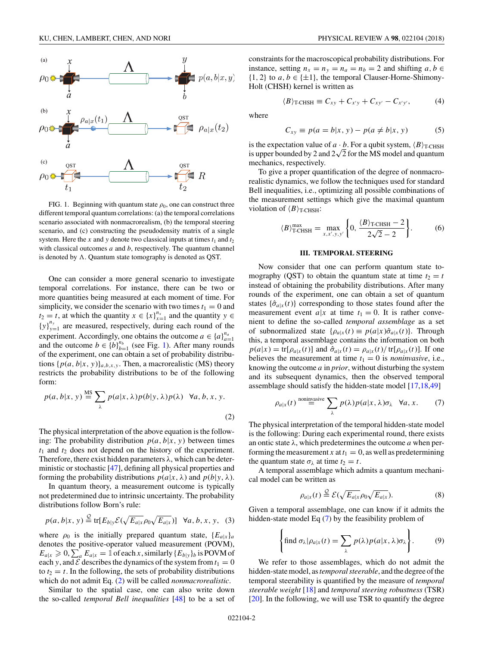<span id="page-1-0"></span>

FIG. 1. Beginning with quantum state  $\rho_0$ , one can construct three different temporal quantum correlations: (a) the temporal correlations scenario associated with nonmacrorealism, (b) the temporal steering scenario, and (c) constructing the pseudodensity matrix of a single system. Here the *x* and *y* denote two classical inputs at times  $t_1$  and  $t_2$ with classical outcomes *a* and *b*, respectively. The quantum channel is denoted by  $\Lambda$ . Quantum state tomography is denoted as QST.

One can consider a more general scenario to investigate temporal correlations. For instance, there can be two or more quantities being measured at each moment of time. For simplicity, we consider the scenario with two times  $t_1 = 0$  and *t*<sub>2</sub> = *t*, at which the quantity *x* ∈ {*x*}<sup>*n<sub>x</sub>*</sup><sub>*x*=1</sub> and the quantity *y* ∈  ${y}^{n_y}_{y=1}$  are measured, respectively, during each round of the experiment. Accordingly, one obtains the outcome  $a \in \{a\}_{a=1}^{n_a}$ and the outcome  $b \in \{b\}_{b=1}^{n_b}$  (see Fig. 1). After many rounds of the experiment, one can obtain a set of probability distributions  $\{p(a,b|x,y)\}_{a,b,x,y}$ . Then, a macrorealistic (MS) theory restricts the probability distributions to be of the following form:

$$
p(a, b|x, y) \stackrel{\text{MS}}{=} \sum_{\lambda} p(a|x, \lambda) p(b|y, \lambda) p(\lambda) \quad \forall a, b, x, y.
$$
 (2)

The physical interpretation of the above equation is the following: The probability distribution  $p(a, b|x, y)$  between times  $t_1$  and  $t_2$  does not depend on the history of the experiment. Therefore, there exist hidden parameters *λ*, which can be deterministic or stochastic [\[47\]](#page-8-0), defining all physical properties and forming the probability distributions  $p(a|x, \lambda)$  and  $p(b|y, \lambda)$ .

In quantum theory, a measurement outcome is typically not predetermined due to intrinsic uncertainty. The probability distributions follow Born's rule:

$$
p(a, b|x, y) \stackrel{\mathcal{Q}}{=} \text{tr}[E_{b|y} \mathcal{E}(\sqrt{E_{a|x}} \rho_0 \sqrt{E_{a|x}})] \quad \forall a, b, x, y, \quad (3)
$$

where  $\rho_0$  is the initially prepared quantum state,  ${E_{a|x}}_a$ denotes the positive-operator valued measurement (POVM),  $E_{a|x} \ge 0$ ,  $\sum_{a} E_{a|x} = \mathbb{1}$  of each *x*, similarly  $\{E_{b|y}\}_{b}$  is POVM of each *y*, and  $\mathcal E$  describes the dynamics of the system from  $t_1 = 0$ to  $t_2 = t$ . In the following, the sets of probability distributions which do not admit Eq. (2) will be called *nonmacrorealistic*.

Similar to the spatial case, one can also write down the so-called *temporal Bell inequalities* [\[48\]](#page-8-0) to be a set of constraints for the macroscopical probability distributions. For instance, setting  $n_x = n_y = n_a = n_b = 2$  and shifting  $a, b \in$  $\{1, 2\}$  to  $a, b \in \{\pm 1\}$ , the temporal Clauser-Horne-Shimony-Holt (CHSH) kernel is written as

$$
\langle B \rangle_{\text{T-CHSH}} \equiv C_{xy} + C_{x'y} + C_{xy'} - C_{x'y'}, \tag{4}
$$

where

$$
C_{xy} \equiv p(a = b|x, y) - p(a \neq b|x, y)
$$
 (5)

is the expectation value of  $a \cdot b$ . For a qubit system,  $\langle B \rangle_{\text{T-CHSH}}$ is upper bounded by 2 and  $2\sqrt{2}$  for the MS model and quantum mechanics, respectively.

To give a proper quantification of the degree of nonmacrorealistic dynamics, we follow the techniques used for standard Bell inequalities, i.e., optimizing all possible combinations of the measurement settings which give the maximal quantum violation of  $\langle B \rangle_{\text{T-CHSH}}$ :

$$
\langle B \rangle_{\text{T-CHSH}}^{\text{max}} = \max_{x, x', y, y'} \left\{ 0, \frac{\langle B \rangle_{\text{T-CHSH}} - 2}{2\sqrt{2} - 2} \right\}. \tag{6}
$$

#### **III. TEMPORAL STEERING**

Now consider that one can perform quantum state tomography (QST) to obtain the quantum state at time  $t_2 = t$ instead of obtaining the probability distributions. After many rounds of the experiment, one can obtain a set of quantum states  $\{\hat{\sigma}_{a|x}(t)\}\)$  corresponding to those states found after the measurement event  $a|x$  at time  $t_1 = 0$ . It is rather convenient to define the so-called *temporal assemblage* as a set of subnormalized state  $\{\rho_{a|x}(t) \equiv p(a|x) \hat{\sigma}_{a|x}(t)\}$ . Through this, a temporal assemblage contains the information on both  $p(a|x) = \text{tr}[\rho_{a|x}(t)]$  and  $\hat{\sigma}_{a|x}(t) = \rho_{a|x}(t) / \text{tr}[\rho_{a|x}(t)]$ . If one believes the measurement at time  $t_1 = 0$  is *noninvasive*, i.e., knowing the outcome *a* in *prior*, without disturbing the system and its subsequent dynamics, then the observed temporal assemblage should satisfy the hidden-state model [\[17,18](#page-7-0)[,49\]](#page-8-0)

$$
\rho_{a|x}(t) \stackrel{\text{noninvasive}}{=} \sum_{\lambda} p(\lambda) p(a|x, \lambda) \sigma_{\lambda} \quad \forall a, x. \tag{7}
$$

The physical interpretation of the temporal hidden-state model is the following: During each experimental round, there exists an ontic state *λ*, which predetermines the outcome *a* when performing the measurement *x* at  $t_1 = 0$ , as well as predetermining the quantum state  $\sigma_{\lambda}$  at time  $t_2 = t$ .

A temporal assemblage which admits a quantum mechanical model can be written as

$$
\rho_{a|x}(t) \stackrel{\mathcal{Q}}{=} \mathcal{E}(\sqrt{E_{a|x}} \rho_0 \sqrt{E_{a|x}}).
$$
 (8)

Given a temporal assemblage, one can know if it admits the hidden-state model Eq (7) by the feasibility problem of

$$
\left\{\text{find }\sigma_{\lambda}|\rho_{a|x}(t)=\sum_{\lambda}p(\lambda)p(a|x,\lambda)\sigma_{\lambda}\right\}.
$$
 (9)

We refer to those assemblages, which do not admit the hidden-state model, as*temporal steerable*, and the degree of the temporal steerability is quantified by the measure of *temporal steerable weight* [\[18\]](#page-7-0) and *temporal steering robustness* (TSR) [\[20\]](#page-7-0). In the following, we will use TSR to quantify the degree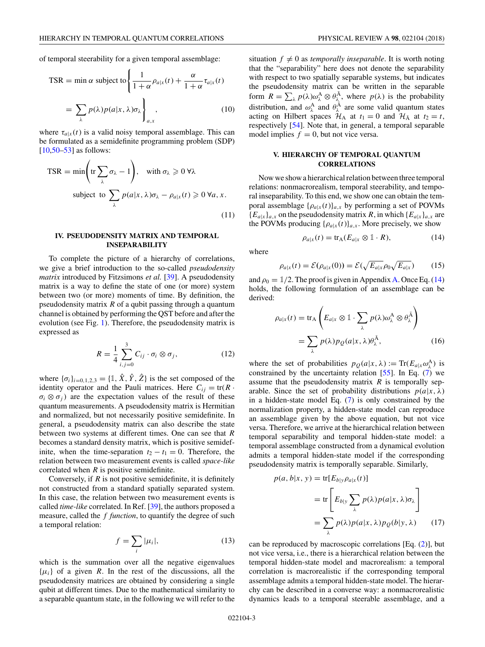of temporal steerability for a given temporal assemblage:

$$
\text{TSR} = \min \alpha \text{ subject to} \left\{ \frac{1}{1 + \alpha} \rho_{a|x}(t) + \frac{\alpha}{1 + \alpha} \tau_{a|x}(t) \right\}
$$

$$
= \sum_{\lambda} p(\lambda) p(a|x, \lambda) \sigma_{\lambda} \right\}_{a,x}, \tag{10}
$$

where  $\tau_{a|x}(t)$  is a valid noisy temporal assemblage. This can be formulated as a semidefinite programming problem (SDP) [\[10](#page-7-0)[,50–53\]](#page-8-0) as follows:

$$
\text{TSR} = \min\left(\text{tr}\sum_{\lambda}\sigma_{\lambda} - 1\right), \quad \text{with } \sigma_{\lambda} \geqslant 0 \,\forall \lambda
$$
\n
$$
\text{subject to } \sum_{\lambda} p(a|x, \lambda)\sigma_{\lambda} - \rho_{a|x}(t) \geqslant 0 \,\forall a, x. \tag{11}
$$

## **IV. PSEUDODENSITY MATRIX AND TEMPORAL INSEPARABILITY**

To complete the picture of a hierarchy of correlations, we give a brief introduction to the so-called *pseudodensity matrix* introduced by Fitzsimons *et al.* [\[39\]](#page-8-0). A pseudodensity matrix is a way to define the state of one (or more) system between two (or more) moments of time. By definition, the pseudodensity matrix *R* of a qubit passing through a quantum channel is obtained by performing the QST before and after the evolution (see Fig. [1\)](#page-1-0). Therefore, the pseudodensity matrix is expressed as

$$
R = \frac{1}{4} \sum_{i,j=0}^{3} C_{ij} \cdot \sigma_i \otimes \sigma_j, \qquad (12)
$$

where  $\{\sigma_i\}_{i=0,1,2,3} = \{\mathbb{1}, \hat{X}, \hat{Y}, \hat{Z}\}$  is the set composed of the identity operator and the Pauli matrices. Here  $C_{ii} = \text{tr}(R \cdot$  $\sigma_i \otimes \sigma_j$  are the expectation values of the result of these quantum measurements. A pseudodensity matrix is Hermitian and normalized, but not necessarily positive semidefinite. In general, a pseudodensity matrix can also describe the state between two systems at different times. One can see that *R* becomes a standard density matrix, which is positive semidefinite, when the time-separation  $t_2 - t_1 = 0$ . Therefore, the relation between two measurement events is called *space-like* correlated when *R* is positive semidefinite.

Conversely, if *R* is not positive semidefinite, it is definitely not constructed from a standard spatially separated system. In this case, the relation between two measurement events is called *time-like* correlated. In Ref. [\[39\]](#page-8-0), the authors proposed a measure, called the *f function*, to quantify the degree of such a temporal relation:

$$
f = \sum_{i} |\mu_i|,\tag{13}
$$

which is the summation over all the negative eigenvalues  $\{\mu_i\}$  of a given *R*. In the rest of the discussions, all the pseudodensity matrices are obtained by considering a single qubit at different times. Due to the mathematical similarity to a separable quantum state, in the following we will refer to the

## **V. HIERARCHY OF TEMPORAL QUANTUM CORRELATIONS**

model implies  $f = 0$ , but not vice versa.

Now we show a hierarchical relation between three temporal relations: nonmacrorealism, temporal steerability, and temporal inseparability. To this end, we show one can obtain the temporal assemblage  $\{\rho_{a|x}(t)\}_{a,x}$  by performing a set of POVMs  ${E_{a|x}}_{a,x}$  on the pseudodensity matrix *R*, in which  ${E_{a|x}}_{a,x}$  are the POVMs producing  $\{\rho_{a|x}(t)\}_{a,x}$ . More precisely, we show

$$
\rho_{a|x}(t) = \text{tr}_{A}(E_{a|x} \otimes \mathbb{1} \cdot R), \tag{14}
$$

where

$$
\rho_{a|x}(t) = \mathcal{E}(\rho_{a|x}(0)) = \mathcal{E}(\sqrt{E_{a|x}}\rho_0\sqrt{E_{a|x}})
$$
(15)

and  $\rho_0 = 1/2$ . The proof is given in Appendix [A.](#page-4-0) Once Eq. (14) holds, the following formulation of an assemblage can be derived:

$$
\rho_{a|x}(t) = \text{tr}_{A}\left(E_{a|x} \otimes \mathbb{1} \cdot \sum_{\lambda} p(\lambda)\omega_{\lambda}^{A} \otimes \theta_{\lambda}^{\bar{A}}\right)
$$

$$
= \sum_{\lambda} p(\lambda)p_{Q}(a|x, \lambda)\theta_{\lambda}^{\bar{A}}, \qquad (16)
$$

where the set of probabilities  $p_Q(a|x, \lambda) := \text{Tr}(E_{a|x} \omega_\lambda^A)$  is constrained by the uncertainty relation [\[55\]](#page-8-0). In Eq. [\(7\)](#page-1-0) we assume that the pseudodensity matrix *R* is temporally separable. Since the set of probability distributions  $p(a|x, \lambda)$ in a hidden-state model Eq. [\(7\)](#page-1-0) is only constrained by the normalization property, a hidden-state model can reproduce an assemblage given by the above equation, but not vice versa. Therefore, we arrive at the hierarchical relation between temporal separability and temporal hidden-state model: a temporal assemblage constructed from a dynamical evolution admits a temporal hidden-state model if the corresponding pseudodensity matrix is temporally separable. Similarly,

$$
p(a, b|x, y) = \text{tr}[E_{b|y} \rho_{a|x}(t)]
$$
  
= tr  $\left[E_{b|y} \sum_{\lambda} p(\lambda) p(a|x, \lambda) \sigma_{\lambda}\right]$   
=  $\sum_{\lambda} p(\lambda) p(a|x, \lambda) p_{Q}(b|y, \lambda)$  (17)

can be reproduced by macroscopic correlations [Eq. [\(2\)](#page-1-0)], but not vice versa, i.e., there is a hierarchical relation between the temporal hidden-state model and macrorealism: a temporal correlation is macrorealistic if the corresponding temporal assemblage admits a temporal hidden-state model. The hierarchy can be described in a converse way: a nonmacrorealistic dynamics leads to a temporal steerable assemblage, and a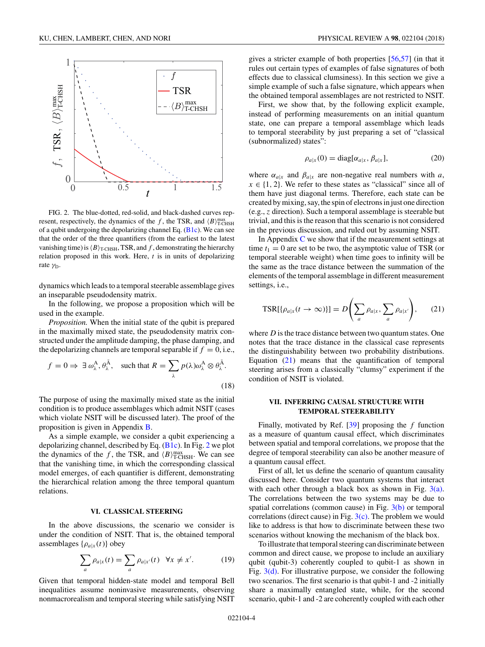<span id="page-3-0"></span>

FIG. 2. The blue-dotted, red-solid, and black-dashed curves represent, respectively, the dynamics of the *f*, the TSR, and  $\langle B \rangle_{\text{T-CHSH}}^{\text{max}}$ of a qubit undergoing the depolarizing channel Eq.  $(B1c)$ . We can see that the order of the three quantifiers (from the earliest to the latest vanishing time) is  $\langle B \rangle_{\text{T-CHSH}}$ , TSR, and f, demonstrating the hierarchy relation proposed in this work. Here, *t* is in units of depolarizing rate *γ*D.

dynamics which leads to a temporal steerable assemblage gives an inseparable pseudodensity matrix.

In the following, we propose a proposition which will be used in the example.

*Proposition.* When the initial state of the qubit is prepared in the maximally mixed state, the pseudodensity matrix constructed under the amplitude damping, the phase damping, and the depolarizing channels are temporal separable if  $f = 0$ , i.e.,

$$
f = 0 \Rightarrow \exists \omega_{\lambda}^{A}, \theta_{\lambda}^{\overline{A}}, \text{ such that } R = \sum_{\lambda} p(\lambda) \omega_{\lambda}^{A} \otimes \theta_{\lambda}^{\overline{A}}.
$$
 (18)

The purpose of using the maximally mixed state as the initial condition is to produce assemblages which admit NSIT (cases which violate NSIT will be discussed later). The proof of the proposition is given in Appendix [B.](#page-5-0)

As a simple example, we consider a qubit experiencing a depolarizing channel, described by Eq. [\(B1c\)](#page-5-0). In Fig. 2 we plot the dynamics of the *f*, the TSR, and  $\langle B \rangle_{\text{T-CHSH}}^{\text{max}}$ . We can see that the vanishing time, in which the corresponding classical model emerges, of each quantifier is different, demonstrating the hierarchical relation among the three temporal quantum relations.

## **VI. CLASSICAL STEERING**

In the above discussions, the scenario we consider is under the condition of NSIT. That is, the obtained temporal assemblages  $\{\rho_{a|x}(t)\}\$ obey

$$
\sum_{a} \rho_{a|x}(t) = \sum_{a} \rho_{a|x'}(t) \quad \forall x \neq x'.
$$
 (19)

Given that temporal hidden-state model and temporal Bell inequalities assume noninvasive measurements, observing nonmacrorealism and temporal steering while satisfying NSIT

gives a stricter example of both properties [\[56,57\]](#page-8-0) (in that it rules out certain types of examples of false signatures of both effects due to classical clumsiness). In this section we give a simple example of such a false signature, which appears when the obtained temporal assemblages are not restricted to NSIT.

First, we show that, by the following explicit example, instead of performing measurements on an initial quantum state, one can prepare a temporal assemblage which leads to temporal steerability by just preparing a set of "classical (subnormalized) states":

$$
\rho_{a|x}(0) = \text{diag}[\alpha_{a|x}, \beta_{a|x}], \tag{20}
$$

where  $\alpha_{a|x}$  and  $\beta_{a|x}$  are non-negative real numbers with *a*,  $x \in \{1, 2\}$ . We refer to these states as "classical" since all of them have just diagonal terms. Therefore, each state can be created by mixing, say, the spin of electrons in just one direction (e.g., *z* direction). Such a temporal assemblage is steerable but trivial, and this is the reason that this scenario is not considered in the previous discussion, and ruled out by assuming NSIT.

In Appendix  $C$  we show that if the measurement settings at time  $t_1 = 0$  are set to be two, the asymptotic value of TSR (or temporal steerable weight) when time goes to infinity will be the same as the trace distance between the summation of the elements of the temporal assemblage in different measurement settings, i.e.,

$$
TSR[\{\rho_{a|x}(t \to \infty)\}] = D\left(\sum_{a} \rho_{a|x}, \sum_{a} \rho_{a|x'}\right), \quad (21)
$$

where *D* is the trace distance between two quantum states. One notes that the trace distance in the classical case represents the distinguishability between two probability distributions. Equation  $(21)$  means that the quantification of temporal steering arises from a classically "clumsy" experiment if the condition of NSIT is violated.

## **VII. INFERRING CAUSAL STRUCTURE WITH TEMPORAL STEERABILITY**

Finally, motivated by Ref. [\[39\]](#page-8-0) proposing the *f* function as a measure of quantum causal effect, which discriminates between spatial and temporal correlations, we propose that the degree of temporal steerability can also be another measure of a quantum causal effect.

First of all, let us define the scenario of quantum causality discussed here. Consider two quantum systems that interact with each other through a black box as shown in Fig.  $3(a)$ . The correlations between the two systems may be due to spatial correlations (common cause) in Fig. [3\(b\)](#page-4-0) or temporal correlations (direct cause) in Fig.  $3(c)$ . The problem we would like to address is that how to discriminate between these two scenarios without knowing the mechanism of the black box.

To illustrate that temporal steering can discriminate between common and direct cause, we propose to include an auxiliary qubit (qubit-3) coherently coupled to qubit-1 as shown in Fig.  $3(d)$ . For illustrative purpose, we consider the following two scenarios. The first scenario is that qubit-1 and -2 initially share a maximally entangled state, while, for the second scenario, qubit-1 and -2 are coherently coupled with each other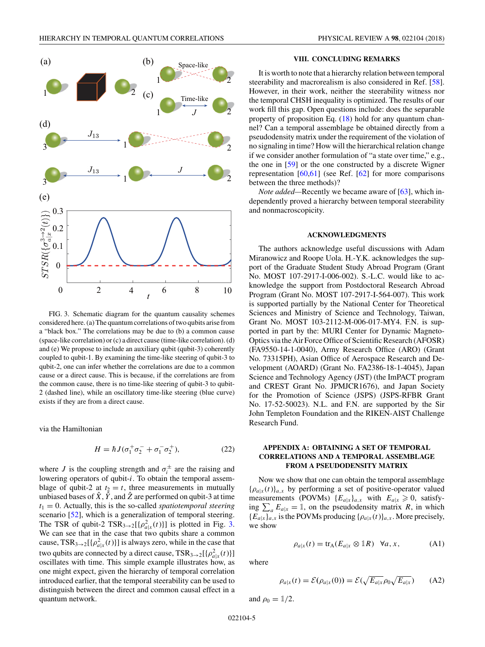<span id="page-4-0"></span>

FIG. 3. Schematic diagram for the quantum causality schemes considered here. (a) The quantum correlations of two qubits arise from a "black box." The correlations may be due to (b) a common cause (space-like correlation) or (c) a direct cause (time-like correlation). (d) and (e) We propose to include an auxiliary qubit (qubit-3) coherently coupled to qubit-1. By examining the time-like steering of qubit-3 to qubit-2, one can infer whether the correlations are due to a common cause or a direct cause. This is because, if the correlations are from the common cause, there is no time-like steering of qubit-3 to qubit-2 (dashed line), while an oscillatory time-like steering (blue curve) exists if they are from a direct cause.

via the Hamiltonian

$$
H = \hbar J (\sigma_1^+ \sigma_2^- + \sigma_1^- \sigma_2^+), \tag{22}
$$

where *J* is the coupling strength and  $\sigma_i^{\pm}$  are the raising and lowering operators of qubit-*i*. To obtain the temporal assemblage of qubit-2 at  $t_2 = t$ , three measurements in mutually unbiased bases of  $\hat{X}$ ,  $\hat{Y}$ , and  $\hat{Z}$  are performed on qubit-3 at time  $t_1 = 0$ . Actually, this is the so-called *spatiotemporal steering* scenario [\[52\]](#page-8-0), which is a generalization of temporal steering. The TSR of qubit-2  $TSR_{3\rightarrow 2}[\{\rho_{a|x}^2(t)\}]$  is plotted in Fig. 3. We can see that in the case that two qubits share a common cause,  $TSR_{3\rightarrow 2}[\{\rho_{a|x}^2(t)\}]$  is always zero, while in the case that two qubits are connected by a direct cause,  $TSR_{3\rightarrow 2}[\{\rho_{a|x}^2(t)\}]$ oscillates with time. This simple example illustrates how, as one might expect, given the hierarchy of temporal correlation introduced earlier, that the temporal steerability can be used to distinguish between the direct and common causal effect in a quantum network.

### **VIII. CONCLUDING REMARKS**

It is worth to note that a hierarchy relation between temporal steerability and macrorealism is also considered in Ref. [\[58\]](#page-8-0). However, in their work, neither the steerability witness nor the temporal CHSH inequality is optimized. The results of our work fill this gap. Open questions include: does the separable property of proposition Eq. [\(18\)](#page-3-0) hold for any quantum channel? Can a temporal assemblage be obtained directly from a pseudodensity matrix under the requirement of the violation of no signaling in time? How will the hierarchical relation change if we consider another formulation of "a state over time," e.g., the one in [\[59\]](#page-8-0) or the one constructed by a discrete Wigner representation [\[60,61\]](#page-8-0) (see Ref. [\[62\]](#page-8-0) for more comparisons between the three methods)?

*Note added*—Recently we became aware of [\[63\]](#page-8-0), which independently proved a hierarchy between temporal steerability and nonmacroscopicity.

#### **ACKNOWLEDGMENTS**

The authors acknowledge useful discussions with Adam Miranowicz and Roope Uola. H.-Y.K. acknowledges the support of the Graduate Student Study Abroad Program (Grant No. MOST 107-2917-I-006-002). S.-L.C. would like to acknowledge the support from Postdoctoral Research Abroad Program (Grant No. MOST 107-2917-I-564-007). This work is supported partially by the National Center for Theoretical Sciences and Ministry of Science and Technology, Taiwan, Grant No. MOST 103-2112-M-006-017-MY4. F.N. is supported in part by the: MURI Center for Dynamic Magneto-Optics via the Air Force Office of Scientific Research (AFOSR) (FA9550-14-1-0040), Army Research Office (ARO) (Grant No. 73315PH), Asian Office of Aerospace Research and Development (AOARD) (Grant No. FA2386-18-1-4045), Japan Science and Technology Agency (JST) (the ImPACT program and CREST Grant No. JPMJCR1676), and Japan Society for the Promotion of Science (JSPS) (JSPS-RFBR Grant No. 17-52-50023). N.L. and F.N. are supported by the Sir John Templeton Foundation and the RIKEN-AIST Challenge Research Fund.

## **APPENDIX A: OBTAINING A SET OF TEMPORAL CORRELATIONS AND A TEMPORAL ASSEMBLAGE FROM A PSEUDODENSITY MATRIX**

Now we show that one can obtain the temporal assemblage  ${\rho_{a|x}(t)}_{a,x}$  by performing a set of positive-operator valued measurements (POVMs)  ${E_{a|x}}_{a,x}$  with  $E_{a|x} \ge 0$ , satisfying  $\sum_{a} E_{a|x} = \mathbb{1}$ , on the pseudodensity matrix *R*, in which  ${E_{a|x}}_{a,x}$  is the POVMs producing  ${\{\rho_{a|x}(t)\}}_{a,x}$ . More precisely, we show

$$
\rho_{a|x}(t) = \text{tr}_{A}(E_{a|x} \otimes \mathbb{1}R) \quad \forall a, x,
$$
 (A1)

where

$$
\rho_{a|x}(t) = \mathcal{E}(\rho_{a|x}(0)) = \mathcal{E}(\sqrt{E_{a|x}}\rho_0\sqrt{E_{a|x}})
$$
 (A2)

and  $\rho_0 = 1/2$ .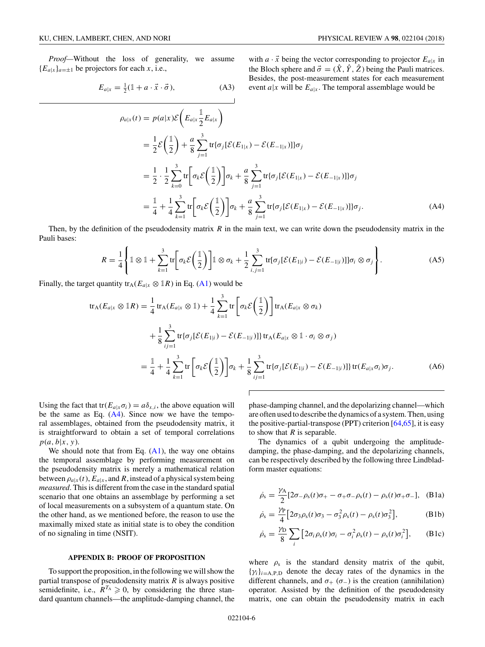<span id="page-5-0"></span>*Proof—*Without the loss of generality, we assume  ${E_{a|x}}_{a=\pm 1}$  be projectors for each *x*, i.e.,

$$
E_{a|x} = \frac{1}{2}(\mathbb{1} + a \cdot \vec{x} \cdot \vec{\sigma}), \tag{A3}
$$

with  $a \cdot \vec{x}$  being the vector corresponding to projector  $E_{a|x}$  in the Bloch sphere and  $\vec{\sigma} = (\hat{X}, \hat{Y}, \hat{Z})$  being the Pauli matrices. Besides, the post-measurement states for each measurement event  $a|x$  will be  $E_{a|x}$ . The temporal assemblage would be

$$
\rho_{a|x}(t) = p(a|x)\mathcal{E}\left(E_{a|x}\frac{1}{2}E_{a|x}\right)
$$
  
\n
$$
= \frac{1}{2}\mathcal{E}\left(\frac{1}{2}\right) + \frac{a}{8}\sum_{j=1}^{3}\text{tr}\{\sigma_{j}[\mathcal{E}(E_{1|x}) - \mathcal{E}(E_{-1|x})]\}\sigma_{j}
$$
  
\n
$$
= \frac{1}{2}\cdot\frac{1}{2}\sum_{k=0}^{3}\text{tr}\left[\sigma_{k}\mathcal{E}\left(\frac{1}{2}\right)\right]\sigma_{k} + \frac{a}{8}\sum_{j=1}^{3}\text{tr}\{\sigma_{j}[\mathcal{E}(E_{1|x}) - \mathcal{E}(E_{-1|x})]\}\sigma_{j}
$$
  
\n
$$
= \frac{1}{4} + \frac{1}{4}\sum_{k=1}^{3}\text{tr}\left[\sigma_{k}\mathcal{E}\left(\frac{1}{2}\right)\right]\sigma_{k} + \frac{a}{8}\sum_{j=1}^{3}\text{tr}\{\sigma_{j}[\mathcal{E}(E_{1|x}) - \mathcal{E}(E_{-1|x})]\}\sigma_{j}.
$$
 (A4)

Then, by the definition of the pseudodensity matrix *R* in the main text, we can write down the pseudodensity matrix in the Pauli bases:

$$
R = \frac{1}{4} \left\{ \mathbb{1} \otimes \mathbb{1} + \sum_{k=1}^{3} \text{tr} \left[ \sigma_k \mathcal{E} \left( \frac{\mathbb{1}}{2} \right) \right] \mathbb{1} \otimes \sigma_k + \frac{1}{2} \sum_{i,j=1}^{3} \text{tr} \left[ \sigma_j [\mathcal{E}(E_{1|i}) - \mathcal{E}(E_{-1|i})] \right] \sigma_i \otimes \sigma_j \right\}.
$$
 (A5)

Finally, the target quantity  $tr_A(E_{a|x} \otimes \mathbb{1}R)$  in Eq. [\(A1\)](#page-4-0) would be

$$
\operatorname{tr}_{A}(E_{a|x} \otimes \mathbb{1}R) = \frac{1}{4} \operatorname{tr}_{A}(E_{a|x} \otimes \mathbb{1}) + \frac{1}{4} \sum_{k=1}^{3} \operatorname{tr} \left[ \sigma_{k} \mathcal{E} \left( \frac{\mathbb{1}}{2} \right) \right] \operatorname{tr}_{A}(E_{a|x} \otimes \sigma_{k})
$$
  
+ 
$$
\frac{1}{8} \sum_{i,j=1}^{3} \operatorname{tr} \{ \sigma_{j} [\mathcal{E}(E_{1|i}) - \mathcal{E}(E_{-1|i})] \} \operatorname{tr}_{A}(E_{a|x} \otimes \mathbb{1} \cdot \sigma_{i} \otimes \sigma_{j})
$$
  
= 
$$
\frac{\mathbb{1}}{4} + \frac{1}{4} \sum_{k=1}^{3} \operatorname{tr} \left[ \sigma_{k} \mathcal{E} \left( \frac{\mathbb{1}}{2} \right) \right] \sigma_{k} + \frac{1}{8} \sum_{i,j=1}^{3} \operatorname{tr} \{ \sigma_{j} [\mathcal{E}(E_{1|i}) - \mathcal{E}(E_{-1|i})] \} \operatorname{tr}(E_{a|x} \sigma_{i}) \sigma_{j}.
$$
 (A6)

Using the fact that tr( $E_{a|x}\sigma_i$ ) =  $a\delta_{x,i}$ , the above equation will be the same as Eq.  $(A4)$ . Since now we have the temporal assemblages, obtained from the pseudodensity matrix, it is straightforward to obtain a set of temporal correlations  $p(a,b|x,y)$ .

We should note that from Eq.  $(A1)$ , the way one obtains the temporal assemblage by performing measurement on the pseudodensity matrix is merely a mathematical relation between  $\rho_{a|x}(t)$ ,  $E_{a|x}$ , and *R*, instead of a physical system being *measured*. This is different from the case in the standard spatial scenario that one obtains an assemblage by performing a set of local measurements on a subsystem of a quantum state. On the other hand, as we mentioned before, the reason to use the maximally mixed state as initial state is to obey the condition of no signaling in time (NSIT).

#### **APPENDIX B: PROOF OF PROPOSITION**

To support the proposition, in the following we will show the partial transpose of pseudodensity matrix *R* is always positive semidefinite, i.e.,  $R^{T_A} \geq 0$ , by considering the three standard quantum channels—the amplitude-damping channel, the phase-damping channel, and the depolarizing channel—which are often used to describe the dynamics of a system. Then, using the positive-partial-transpose (PPT) criterion  $[64, 65]$ , it is easy to show that *R* is separable.

The dynamics of a qubit undergoing the amplitudedamping, the phase-damping, and the depolarizing channels, can be respectively described by the following three Lindbladform master equations:

$$
\dot{\rho}_s = \frac{\gamma_A}{2} [2\sigma_- \rho_s(t)\sigma_+ - \sigma_+ \sigma_- \rho_s(t) - \rho_s(t)\sigma_+ \sigma_-], \quad (B1a)
$$

$$
\dot{\rho}_s = \frac{\gamma_P}{4} \Big[ 2\sigma_3 \rho_s(t)\sigma_3 - \sigma_3^2 \rho_s(t) - \rho_s(t)\sigma_3^2 \Big], \tag{B1b}
$$

$$
\dot{\rho}_s = \frac{\gamma_D}{8} \sum_i \left[ 2\sigma_i \rho_s(t)\sigma_i - \sigma_i^2 \rho_s(t) - \rho_s(t)\sigma_i^2 \right], \quad \text{(B1c)}
$$

where  $\rho_s$  is the standard density matrix of the qubit,  $\{\gamma_i\}_{i=A,P,D}$  denote the decay rates of the dynamics in the different channels, and  $\sigma_{+}$  ( $\sigma_{-}$ ) is the creation (annihilation) operator. Assisted by the definition of the pseudodensity matrix, one can obtain the pseudodensity matrix in each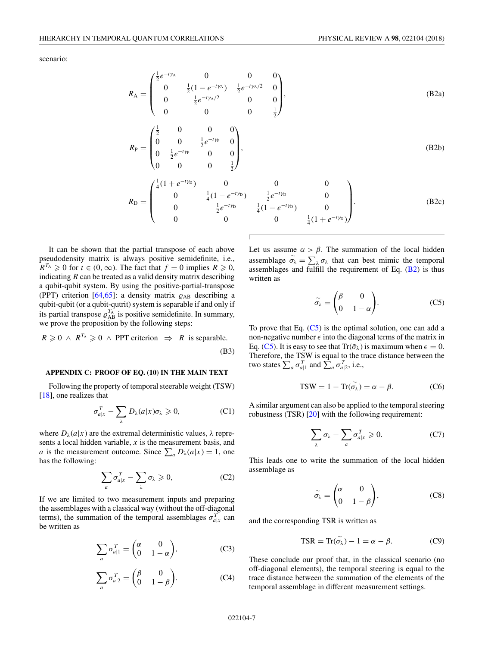<span id="page-6-0"></span>scenario:

$$
R_{\rm A} = \begin{pmatrix} \frac{1}{2}e^{-t\gamma_{\rm A}} & 0 & 0 & 0\\ 0 & \frac{1}{2}(1 - e^{-t\gamma_{\rm A}}) & \frac{1}{2}e^{-t\gamma_{\rm A}/2} & 0\\ 0 & \frac{1}{2}e^{-t\gamma_{\rm A}/2} & 0 & 0\\ 0 & 0 & 0 & \frac{1}{2} \end{pmatrix},
$$
(B2a)

$$
R_{\rm P} = \begin{pmatrix} \frac{1}{2} & 0 & 0 & 0 \\ 0 & 0 & \frac{1}{2}e^{-t\gamma_{\rm P}} & 0 \\ 0 & \frac{1}{2}e^{-t\gamma_{\rm P}} & 0 & 0 \\ 0 & 0 & 0 & \frac{1}{2} \end{pmatrix},
$$
(B2b)

$$
R_{\rm D} = \begin{pmatrix} \frac{1}{4}(1+e^{-t/\tau_{\rm D}}) & 0 & 0 & 0\\ 0 & \frac{1}{4}(1-e^{-t/\tau_{\rm D}}) & \frac{1}{2}e^{-t/\tau_{\rm D}} & 0\\ 0 & \frac{1}{2}e^{-t/\tau_{\rm D}} & \frac{1}{4}(1-e^{-t/\tau_{\rm D}}) & 0\\ 0 & 0 & 0 & \frac{1}{4}(1+e^{-t/\tau_{\rm D}}) \end{pmatrix}.
$$
 (B2c)

It can be shown that the partial transpose of each above pseudodensity matrix is always positive semidefinite, i.e.,  $R^{T_A} \geq 0$  for  $t \in (0, \infty)$ . The fact that  $f = 0$  implies  $R \geq 0$ , indicating *R* can be treated as a valid density matrix describing a qubit-qubit system. By using the positive-partial-transpose (PPT) criterion [\[64,65\]](#page-8-0): a density matrix  $\rho_{AB}$  describing a qubit-qubit (or a qubit-qutrit) system is separable if and only if its partial transpose  $\rho_{AB}^{T_A}$  is positive semidefinite. In summary, we prove the proposition by the following steps:

$$
R \ge 0 \land R^{T_A} \ge 0 \land \text{PPT criterion } \Rightarrow R \text{ is separable.}
$$
 (B3)

#### **APPENDIX C: PROOF OF EQ. (10) IN THE MAIN TEXT**

Following the property of temporal steerable weight (TSW) [\[18\]](#page-7-0), one realizes that

$$
\sigma_{a|x}^T - \sum_{\lambda} D_{\lambda}(a|x)\sigma_{\lambda} \geqslant 0, \tag{C1}
$$

where  $D_{\lambda}(a|x)$  are the extremal deterministic values,  $\lambda$  represents a local hidden variable, *x* is the measurement basis, and *a* is the measurement outcome. Since  $\sum_{a} D_{\lambda}(a|x) = 1$ , one has the following:

$$
\sum_{a} \sigma_{a|x}^{T} - \sum_{\lambda} \sigma_{\lambda} \geqslant 0, \tag{C2}
$$

If we are limited to two measurement inputs and preparing the assemblages with a classical way (without the off-diagonal terms), the summation of the temporal assemblages  $\sigma_{a|x}^T$  can be written as

$$
\sum_{a} \sigma_{a|1}^T = \begin{pmatrix} \alpha & 0\\ 0 & 1 - \alpha \end{pmatrix},
$$
 (C3)

$$
\sum_{a} \sigma_{a|2}^T = \begin{pmatrix} \beta & 0\\ 0 & 1 - \beta \end{pmatrix}.
$$
 (C4)

Let us assume  $\alpha > \beta$ . The summation of the local hidden assemblage  $\tilde{\sigma_{\lambda}} = \sum_{\lambda} \sigma_{\lambda}$  that can best mimic the temporal assemblages and fulfill the requirement of Eq.  $(B2)$  is thus written as

$$
\widetilde{\sigma}_{\lambda} = \begin{pmatrix} \beta & 0 \\ 0 & 1 - \alpha \end{pmatrix} . \tag{C5}
$$

To prove that Eq.  $(C5)$  is the optimal solution, one can add a non-negative number  $\epsilon$  into the diagonal terms of the matrix in Eq. (C5). It is easy to see that  $Tr(\tilde{\sigma}_{\lambda})$  is maximum when  $\epsilon = 0$ . Therefore, the TSW is equal to the trace distance between the two states  $\sum_{a} \sigma_{a|1}^T$  and  $\sum_{a} \sigma_{a|2}^T$ , i.e.,

$$
TSW = 1 - \text{Tr}(\stackrel{\sim}{\sigma_{\lambda}}) = \alpha - \beta. \tag{C6}
$$

A similar argument can also be applied to the temporal steering robustness (TSR) [\[20\]](#page-7-0) with the following requirement:

$$
\sum_{\lambda} \sigma_{\lambda} - \sum_{a} \sigma_{a|x}^{T} \geqslant 0. \tag{C7}
$$

This leads one to write the summation of the local hidden assemblage as

$$
\widetilde{\sigma}_{\lambda} = \begin{pmatrix} \alpha & 0 \\ 0 & 1 - \beta \end{pmatrix}, \tag{C8}
$$

and the corresponding TSR is written as

$$
\text{TSR} = \text{Tr}(\widetilde{\sigma_{\lambda}}) - 1 = \alpha - \beta. \tag{C9}
$$

These conclude our proof that, in the classical scenario (no off-diagonal elements), the temporal steering is equal to the trace distance between the summation of the elements of the temporal assemblage in different measurement settings.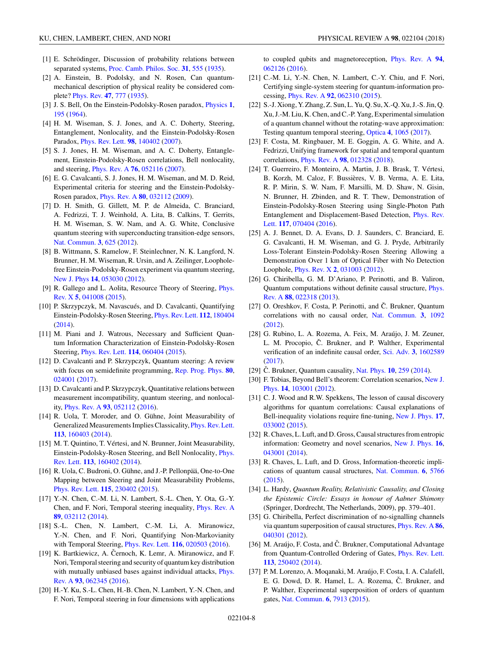- <span id="page-7-0"></span>[1] E. Schrödinger, Discussion of probability relations between separated systems, [Proc. Camb. Philos. Soc.](https://doi.org/10.1017/S0305004100013554) **[31](https://doi.org/10.1017/S0305004100013554)**, [555](https://doi.org/10.1017/S0305004100013554) [\(1935\)](https://doi.org/10.1017/S0305004100013554).
- [2] A. Einstein, B. Podolsky, and N. Rosen, Can quantummechanical description of physical reality be considered complete? [Phys. Rev.](https://doi.org/10.1103/PhysRev.47.777) **[47](https://doi.org/10.1103/PhysRev.47.777)**, [777](https://doi.org/10.1103/PhysRev.47.777) [\(1935\)](https://doi.org/10.1103/PhysRev.47.777).
- [3] J. S. Bell, On the Einstein-Podolsky-Rosen paradox, [Physics](https://doi.org/10.1103/PhysicsPhysiqueFizika.1.195) **[1](https://doi.org/10.1103/PhysicsPhysiqueFizika.1.195)**, [195](https://doi.org/10.1103/PhysicsPhysiqueFizika.1.195) [\(1964\)](https://doi.org/10.1103/PhysicsPhysiqueFizika.1.195).
- [4] H. M. Wiseman, S. J. Jones, and A. C. Doherty, Steering, Entanglement, Nonlocality, and the Einstein-Podolsky-Rosen Paradox, [Phys. Rev. Lett.](https://doi.org/10.1103/PhysRevLett.98.140402) **[98](https://doi.org/10.1103/PhysRevLett.98.140402)**, [140402](https://doi.org/10.1103/PhysRevLett.98.140402) [\(2007\)](https://doi.org/10.1103/PhysRevLett.98.140402).
- [5] S. J. Jones, H. M. Wiseman, and A. C. Doherty, Entanglement, Einstein-Podolsky-Rosen correlations, Bell nonlocality, and steering, [Phys. Rev. A](https://doi.org/10.1103/PhysRevA.76.052116) **[76](https://doi.org/10.1103/PhysRevA.76.052116)**, [052116](https://doi.org/10.1103/PhysRevA.76.052116) [\(2007\)](https://doi.org/10.1103/PhysRevA.76.052116).
- [6] E. G. Cavalcanti, S. J. Jones, H. M. Wiseman, and M. D. Reid, Experimental criteria for steering and the Einstein-Podolsky-Rosen paradox, [Phys. Rev. A](https://doi.org/10.1103/PhysRevA.80.032112) **[80](https://doi.org/10.1103/PhysRevA.80.032112)**, [032112](https://doi.org/10.1103/PhysRevA.80.032112) [\(2009\)](https://doi.org/10.1103/PhysRevA.80.032112).
- [7] D. H. Smith, G. Gillett, M. P. de Almeida, C. Branciard, A. Fedrizzi, T. J. Weinhold, A. Lita, B. Calkins, T. Gerrits, H. M. Wiseman, S. W. Nam, and A. G. White, Conclusive quantum steering with superconducting transition-edge sensors, [Nat. Commun.](https://doi.org/10.1038/ncomms1628) **[3](https://doi.org/10.1038/ncomms1628)**, [625](https://doi.org/10.1038/ncomms1628) [\(2012\)](https://doi.org/10.1038/ncomms1628).
- [8] B. Wittmann, S. Ramelow, F. Steinlechner, N. K. Langford, N. Brunner, H. M. Wiseman, R. Ursin, and A. Zeilinger, Loopholefree Einstein-Podolsky-Rosen experiment via quantum steering, [New J. Phys](https://doi.org/10.1088/1367-2630/14/5/053030) **[14](https://doi.org/10.1088/1367-2630/14/5/053030)**, [053030](https://doi.org/10.1088/1367-2630/14/5/053030) [\(2012\)](https://doi.org/10.1088/1367-2630/14/5/053030).
- [9] [R. Gallego and L. Aolita, Resource Theory of Steering,](https://doi.org/10.1103/PhysRevX.5.041008) *Phys.* Rev. X **[5](https://doi.org/10.1103/PhysRevX.5.041008)**, [041008](https://doi.org/10.1103/PhysRevX.5.041008) [\(2015\)](https://doi.org/10.1103/PhysRevX.5.041008).
- [10] P. Skrzypczyk, M. Navascués, and D. Cavalcanti, Quantifying Einstein-Podolsky-Rosen Steering, [Phys. Rev. Lett.](https://doi.org/10.1103/PhysRevLett.112.180404) **[112](https://doi.org/10.1103/PhysRevLett.112.180404)**, [180404](https://doi.org/10.1103/PhysRevLett.112.180404) [\(2014\)](https://doi.org/10.1103/PhysRevLett.112.180404).
- [11] M. Piani and J. Watrous, Necessary and Sufficient Quantum Information Characterization of Einstein-Podolsky-Rosen Steering, [Phys. Rev. Lett.](https://doi.org/10.1103/PhysRevLett.114.060404) **[114](https://doi.org/10.1103/PhysRevLett.114.060404)**, [060404](https://doi.org/10.1103/PhysRevLett.114.060404) [\(2015\)](https://doi.org/10.1103/PhysRevLett.114.060404).
- [12] D. Cavalcanti and P. Skrzypczyk, Quantum steering: A review with focus on semidefinite programming, [Rep. Prog. Phys.](https://doi.org/10.1088/1361-6633/80/2/024001) **[80](https://doi.org/10.1088/1361-6633/80/2/024001)**, [024001](https://doi.org/10.1088/1361-6633/80/2/024001) [\(2017\)](https://doi.org/10.1088/1361-6633/80/2/024001).
- [13] D. Cavalcanti and P. Skrzypczyk, Quantitative relations between measurement incompatibility, quantum steering, and nonlocality, [Phys. Rev. A](https://doi.org/10.1103/PhysRevA.93.052112) **[93](https://doi.org/10.1103/PhysRevA.93.052112)**, [052112](https://doi.org/10.1103/PhysRevA.93.052112) [\(2016\)](https://doi.org/10.1103/PhysRevA.93.052112).
- [14] R. Uola, T. Moroder, and O. Gühne, Joint Measurability of Generalized Measurements Implies Classicality, [Phys. Rev. Lett.](https://doi.org/10.1103/PhysRevLett.113.160403) **[113](https://doi.org/10.1103/PhysRevLett.113.160403)**, [160403](https://doi.org/10.1103/PhysRevLett.113.160403) [\(2014\)](https://doi.org/10.1103/PhysRevLett.113.160403).
- [15] M. T. Quintino, T. Vértesi, and N. Brunner, Joint Measurability, [Einstein-Podolsky-Rosen Steering, and Bell Nonlocality,](https://doi.org/10.1103/PhysRevLett.113.160402) Phys. Rev. Lett. **[113](https://doi.org/10.1103/PhysRevLett.113.160402)**, [160402](https://doi.org/10.1103/PhysRevLett.113.160402) [\(2014\)](https://doi.org/10.1103/PhysRevLett.113.160402).
- [16] R. Uola, C. Budroni, O. Gühne, and J.-P. Pellonpää, One-to-One Mapping between Steering and Joint Measurability Problems, [Phys. Rev. Lett.](https://doi.org/10.1103/PhysRevLett.115.230402) **[115](https://doi.org/10.1103/PhysRevLett.115.230402)**, [230402](https://doi.org/10.1103/PhysRevLett.115.230402) [\(2015\)](https://doi.org/10.1103/PhysRevLett.115.230402).
- [17] Y.-N. Chen, C.-M. Li, N. Lambert, S.-L. Chen, Y. Ota, G.-Y. Chen, and F. Nori, Temporal steering inequality, [Phys. Rev. A](https://doi.org/10.1103/PhysRevA.89.032112) **[89](https://doi.org/10.1103/PhysRevA.89.032112)**, [032112](https://doi.org/10.1103/PhysRevA.89.032112) [\(2014\)](https://doi.org/10.1103/PhysRevA.89.032112).
- [18] S.-L. Chen, N. Lambert, C.-M. Li, A. Miranowicz, Y.-N. Chen, and F. Nori, Quantifying Non-Markovianity with Temporal Steering, [Phys. Rev. Lett.](https://doi.org/10.1103/PhysRevLett.116.020503) **[116](https://doi.org/10.1103/PhysRevLett.116.020503)**, [020503](https://doi.org/10.1103/PhysRevLett.116.020503) [\(2016\)](https://doi.org/10.1103/PhysRevLett.116.020503).
- [19] K. Bartkiewicz, A. Cernoch, K. Lemr, A. Miranowicz, and F. Nori, Temporal steering and security of quantum key distribution [with mutually unbiased bases against individual attacks,](https://doi.org/10.1103/PhysRevA.93.062345) Phys. Rev. A **[93](https://doi.org/10.1103/PhysRevA.93.062345)**, [062345](https://doi.org/10.1103/PhysRevA.93.062345) [\(2016\)](https://doi.org/10.1103/PhysRevA.93.062345).
- [20] H.-Y. Ku, S.-L. Chen, H.-B. Chen, N. Lambert, Y.-N. Chen, and F. Nori, Temporal steering in four dimensions with applications

to coupled qubits and magnetoreception, [Phys. Rev. A](https://doi.org/10.1103/PhysRevA.94.062126) **[94](https://doi.org/10.1103/PhysRevA.94.062126)**, [062126](https://doi.org/10.1103/PhysRevA.94.062126) [\(2016\)](https://doi.org/10.1103/PhysRevA.94.062126).

- [21] C.-M. Li, Y.-N. Chen, N. Lambert, C.-Y. Chiu, and F. Nori, Certifying single-system steering for quantum-information processing, [Phys. Rev. A](https://doi.org/10.1103/PhysRevA.92.062310) **[92](https://doi.org/10.1103/PhysRevA.92.062310)**, [062310](https://doi.org/10.1103/PhysRevA.92.062310) [\(2015\)](https://doi.org/10.1103/PhysRevA.92.062310).
- [22] S.-J. Xiong, Y. Zhang, Z. Sun, L. Yu, Q. Su, X.-Q. Xu, J.-S. Jin, Q. Xu, J.-M. Liu, K. Chen, and C.-P. Yang, Experimental simulation of a quantum channel without the rotating-wave approximation: Testing quantum temporal steering, [Optica](https://doi.org/10.1364/OPTICA.4.001065) **[4](https://doi.org/10.1364/OPTICA.4.001065)**, [1065](https://doi.org/10.1364/OPTICA.4.001065) [\(2017\)](https://doi.org/10.1364/OPTICA.4.001065).
- [23] F. Costa, M. Ringbauer, M. E. Goggin, A. G. White, and A. Fedrizzi, Unifying framework for spatial and temporal quantum correlations, [Phys. Rev. A](https://doi.org/10.1103/PhysRevA.98.012328) **[98](https://doi.org/10.1103/PhysRevA.98.012328)**, [012328](https://doi.org/10.1103/PhysRevA.98.012328) [\(2018\)](https://doi.org/10.1103/PhysRevA.98.012328).
- [24] T. Guerreiro, F. Monteiro, A. Martin, J. B. Brask, T. Vértesi, B. Korzh, M. Caloz, F. Bussières, V. B. Verma, A. E. Lita, R. P. Mirin, S. W. Nam, F. Marsilli, M. D. Shaw, N. Gisin, N. Brunner, H. Zbinden, and R. T. Thew, Demonstration of Einstein-Podolsky-Rosen Steering using Single-Photon Path [Entanglement and Displacement-Based Detection,](https://doi.org/10.1103/PhysRevLett.117.070404) Phys. Rev. Lett. **[117](https://doi.org/10.1103/PhysRevLett.117.070404)**, [070404](https://doi.org/10.1103/PhysRevLett.117.070404) [\(2016\)](https://doi.org/10.1103/PhysRevLett.117.070404).
- [25] A. J. Bennet, D. A. Evans, D. J. Saunders, C. Branciard, E. G. Cavalcanti, H. M. Wiseman, and G. J. Pryde, Arbitrarily Loss-Tolerant Einstein-Podolsky-Rosen Steering Allowing a Demonstration Over 1 km of Optical Fiber with No Detection Loophole, [Phys. Rev. X](https://doi.org/10.1103/PhysRevX.2.031003) **[2](https://doi.org/10.1103/PhysRevX.2.031003)**, [031003](https://doi.org/10.1103/PhysRevX.2.031003) [\(2012\)](https://doi.org/10.1103/PhysRevX.2.031003).
- [26] G. Chiribella, G. M. D'Ariano, P. Perinotti, and B. Valiron, [Quantum computations without definite causal structure,](https://doi.org/10.1103/PhysRevA.88.022318) Phys. Rev. A **[88](https://doi.org/10.1103/PhysRevA.88.022318)**, [022318](https://doi.org/10.1103/PhysRevA.88.022318) [\(2013\)](https://doi.org/10.1103/PhysRevA.88.022318).
- [27] O. Oreshkov, F. Costa, P. Perinotti, and Č. Brukner, Quantum correlations with no causal order, [Nat. Commun.](https://doi.org/10.1038/ncomms2076) **[3](https://doi.org/10.1038/ncomms2076)**, [1092](https://doi.org/10.1038/ncomms2076) [\(2012\)](https://doi.org/10.1038/ncomms2076).
- [28] G. Rubino, L. A. Rozema, A. Feix, M. Araújo, J. M. Zeuner, L. M. Procopio, Č. Brukner, and P. Walther, Experimental verification of an indefinite causal order, [Sci. Adv.](https://doi.org/10.1126/sciadv.1602589) **[3](https://doi.org/10.1126/sciadv.1602589)**, [1602589](https://doi.org/10.1126/sciadv.1602589) [\(2017\)](https://doi.org/10.1126/sciadv.1602589).
- [29] Č. Brukner, Quantum causality, [Nat. Phys.](https://doi.org/10.1038/nphys2930) **[10](https://doi.org/10.1038/nphys2930)**, [259](https://doi.org/10.1038/nphys2930) [\(2014\)](https://doi.org/10.1038/nphys2930).
- [30] [F. Tobias, Beyond Bell's theorem: Correlation scenarios,](https://doi.org/10.1088/1367-2630/14/10/103001) New J. Phys. **[14](https://doi.org/10.1088/1367-2630/14/10/103001)**, [103001](https://doi.org/10.1088/1367-2630/14/10/103001) [\(2012\)](https://doi.org/10.1088/1367-2630/14/10/103001).
- [31] C. J. Wood and R.W. Spekkens, The lesson of causal discovery algorithms for quantum correlations: Causal explanations of Bell-inequality violations require fine-tuning, [New J. Phys.](https://doi.org/10.1088/1367-2630/17/3/033002) **[17](https://doi.org/10.1088/1367-2630/17/3/033002)**, [033002](https://doi.org/10.1088/1367-2630/17/3/033002) [\(2015\)](https://doi.org/10.1088/1367-2630/17/3/033002).
- [32] R. Chaves, L. Luft, and D. Gross, Causal structures from entropic information: Geometry and novel scenarios, [New J. Phys.](https://doi.org/10.1088/1367-2630/16/4/043001) **[16](https://doi.org/10.1088/1367-2630/16/4/043001)**, [043001](https://doi.org/10.1088/1367-2630/16/4/043001) [\(2014\)](https://doi.org/10.1088/1367-2630/16/4/043001).
- [33] R. Chaves, L. Luft, and D. Gross, Information-theoretic implications of quantum causal structures, [Nat. Commun.](https://doi.org/10.1038/ncomms6766) **[6](https://doi.org/10.1038/ncomms6766)**, [5766](https://doi.org/10.1038/ncomms6766) [\(2015\)](https://doi.org/10.1038/ncomms6766).
- [34] L. Hardy, *Quantum Reality, Relativistic Causality, and Closing the Epistemic Circle: Essays in honour of Aabner Shimony* (Springer, Dordrecht, The Netherlands, 2009), pp. 379–401.
- [35] G. Chiribella, Perfect discrimination of no-signalling channels via quantum superposition of causal structures, [Phys. Rev. A](https://doi.org/10.1103/PhysRevA.86.040301) **[86](https://doi.org/10.1103/PhysRevA.86.040301)**, [040301](https://doi.org/10.1103/PhysRevA.86.040301) [\(2012\)](https://doi.org/10.1103/PhysRevA.86.040301).
- [36] M. Araújo, F. Costa, and Č. Brukner, Computational Advantage from Quantum-Controlled Ordering of Gates, [Phys. Rev. Lett.](https://doi.org/10.1103/PhysRevLett.113.250402) **[113](https://doi.org/10.1103/PhysRevLett.113.250402)**, [250402](https://doi.org/10.1103/PhysRevLett.113.250402) [\(2014\)](https://doi.org/10.1103/PhysRevLett.113.250402).
- [37] P. M. Lorenzo, A. Moqanaki, M. Araújo, F. Costa, I. A. Calafell, E. G. Dowd, D. R. Hamel, L. A. Rozema, Č. Brukner, and P. Walther, Experimental superposition of orders of quantum gates, [Nat. Commun.](https://doi.org/10.1038/ncomms8913) **[6](https://doi.org/10.1038/ncomms8913)**, [7913](https://doi.org/10.1038/ncomms8913) [\(2015\)](https://doi.org/10.1038/ncomms8913).